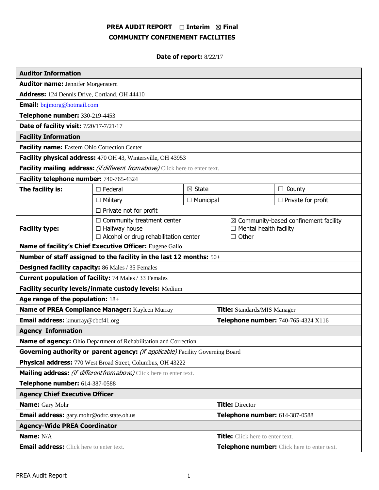# **PREA AUDIT REPORT** ☐ **Interim** ☒ **Final COMMUNITY CONFINEMENT FACILITIES**

# **Date of report:** 8/22/17

| <b>Auditor Information</b>                                                     |                                                                                                           |                                |                                             |                                                                                              |                           |  |
|--------------------------------------------------------------------------------|-----------------------------------------------------------------------------------------------------------|--------------------------------|---------------------------------------------|----------------------------------------------------------------------------------------------|---------------------------|--|
| <b>Auditor name: Jennifer Morgenstern</b>                                      |                                                                                                           |                                |                                             |                                                                                              |                           |  |
| Address: 124 Dennis Drive, Cortland, OH 44410                                  |                                                                                                           |                                |                                             |                                                                                              |                           |  |
| <b>Email:</b> bnjmorg@hotmail.com                                              |                                                                                                           |                                |                                             |                                                                                              |                           |  |
| Telephone number: 330-219-4453                                                 |                                                                                                           |                                |                                             |                                                                                              |                           |  |
| Date of facility visit: 7/20/17-7/21/17                                        |                                                                                                           |                                |                                             |                                                                                              |                           |  |
| <b>Facility Information</b>                                                    |                                                                                                           |                                |                                             |                                                                                              |                           |  |
| Facility name: Eastern Ohio Correction Center                                  |                                                                                                           |                                |                                             |                                                                                              |                           |  |
| Facility physical address: 470 OH 43, Wintersville, OH 43953                   |                                                                                                           |                                |                                             |                                                                                              |                           |  |
| Facility mailing address: (if different from above) Click here to enter text.  |                                                                                                           |                                |                                             |                                                                                              |                           |  |
| Facility telephone number: 740-765-4324                                        |                                                                                                           |                                |                                             |                                                                                              |                           |  |
| The facility is:                                                               | $\boxtimes$ State<br>$\Box$ Federal                                                                       |                                |                                             |                                                                                              | $\Box$ County             |  |
|                                                                                | $\Box$ Military                                                                                           | $\Box$ Municipal               |                                             |                                                                                              | $\Box$ Private for profit |  |
|                                                                                | $\Box$ Private not for profit                                                                             |                                |                                             |                                                                                              |                           |  |
| <b>Facility type:</b>                                                          | $\Box$ Community treatment center<br>$\Box$ Halfway house<br>$\Box$ Alcohol or drug rehabilitation center |                                |                                             | $\boxtimes$ Community-based confinement facility<br>$\Box$ Mental health facility<br>□ Other |                           |  |
| Name of facility's Chief Executive Officer: Eugene Gallo                       |                                                                                                           |                                |                                             |                                                                                              |                           |  |
| Number of staff assigned to the facility in the last 12 months: 50+            |                                                                                                           |                                |                                             |                                                                                              |                           |  |
| <b>Designed facility capacity:</b> 86 Males / 35 Females                       |                                                                                                           |                                |                                             |                                                                                              |                           |  |
| <b>Current population of facility: 74 Males / 33 Females</b>                   |                                                                                                           |                                |                                             |                                                                                              |                           |  |
| Facility security levels/inmate custody levels: Medium                         |                                                                                                           |                                |                                             |                                                                                              |                           |  |
| Age range of the population: 18+                                               |                                                                                                           |                                |                                             |                                                                                              |                           |  |
| Name of PREA Compliance Manager: Kayleen Murray                                |                                                                                                           |                                | <b>Title:</b> Standards/MIS Manager         |                                                                                              |                           |  |
| <b>Email address:</b> kmurray@cbcf41.org                                       |                                                                                                           |                                | Telephone number: 740-765-4324 X116         |                                                                                              |                           |  |
| <b>Agency Information</b>                                                      |                                                                                                           |                                |                                             |                                                                                              |                           |  |
| Name of agency: Ohio Department of Rehabilitation and Correction               |                                                                                                           |                                |                                             |                                                                                              |                           |  |
| Governing authority or parent agency: (if applicable) Facility Governing Board |                                                                                                           |                                |                                             |                                                                                              |                           |  |
| Physical address: 770 West Broad Street, Columbus, OH 43222                    |                                                                                                           |                                |                                             |                                                                                              |                           |  |
| Mailing address: (if different from above) Click here to enter text.           |                                                                                                           |                                |                                             |                                                                                              |                           |  |
| Telephone number: 614-387-0588                                                 |                                                                                                           |                                |                                             |                                                                                              |                           |  |
| <b>Agency Chief Executive Officer</b>                                          |                                                                                                           |                                |                                             |                                                                                              |                           |  |
| <b>Name:</b> Gary Mohr                                                         |                                                                                                           |                                | <b>Title: Director</b>                      |                                                                                              |                           |  |
| Email address: gary.mohr@odrc.state.oh.us                                      |                                                                                                           | Telephone number: 614-387-0588 |                                             |                                                                                              |                           |  |
| <b>Agency-Wide PREA Coordinator</b>                                            |                                                                                                           |                                |                                             |                                                                                              |                           |  |
| Name: N/A                                                                      |                                                                                                           |                                | <b>Title:</b> Click here to enter text.     |                                                                                              |                           |  |
| <b>Email address:</b> Click here to enter text.                                |                                                                                                           |                                | Telephone number: Click here to enter text. |                                                                                              |                           |  |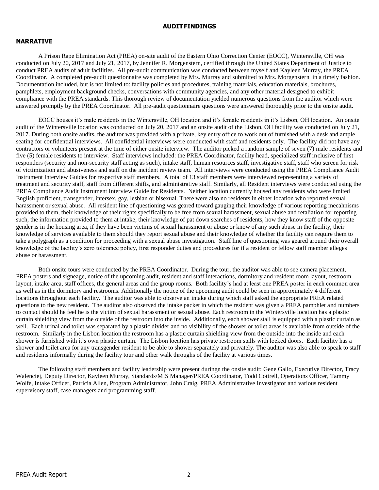#### **AUDITFINDINGS**

#### **NARRATIVE**

A Prison Rape Elimination Act (PREA) on-site audit of the Eastern Ohio Correction Center (EOCC), Wintersville, OH was conducted on July 20, 2017 and July 21, 2017, by Jennifer R. Morgenstern, certified through the United States Department of Justice to conduct PREA audits of adult facilities. All pre-audit communication was conducted between myself and Kayleen Murray, the PREA Coordinator. A completed pre-audit questionnaire was completed by Mrs. Murray and submitted to Mrs. Morgenstern in a timely fashion. Documentation included, but is not limited to: facility policies and procedures, training materials, education materials, brochures, pamphlets, employment background checks, conversations with community agencies, and any other material designed to exhibit compliance with the PREA standards. This thorough review of documentation yielded numerous questions from the auditor which were answered promptly by the PREA Coordinator. All pre-audit questionnaire questions were answered thoroughly prior to the onsite audit.

EOCC houses it's male residents in the Wintersville, OH location and it's female residents in it's Lisbon, OH location. An onsite audit of the Wintersville location was conducted on July 20, 2017 and an onsite audit of the Lisbon, OH facility was conducted on July 21, 2017. During both onsite audits, the auditor was provided with a private, key entry office to work out of furnished with a desk and ample seating for confidential interviews. All confidential interviews were conducted with staff and residents only. The facility did not have any contractors or volunteers present at the time of either onsite interview. The auditor picked a random sample of seven (7) male residents and five (5) female residents to interview. Staff interviews included: the PREA Coordinator, facility head, specialized staff inclusive of first responders (security and non-security staff acting as such), intake staff, human resources staff, investigative staff, staff who screen for risk of victimization and abusiveness and staff on the incident review team. All interviews were conducted using the PREA Compliance Audit Instrument Interview Guides for respective staff members. A total of 13 staff members were interviewed representing a variety of treatment and security staff, staff from different shifts, and administrative staff. Similarly, all Resident interviews were conducted using the PREA Compliance Audit Instrument Interview Guide for Residents. Neither location currently housed any residents who were limited English proficient, transgender, intersex, gay, lesbian or bisexual. There were also no residents in either location who reported sexual harassment or sexual abuse. All resident line of questioning was geared toward gauging their knowledge of various reporting mecahnisms provided to them, their knowledge of their rights specifically to be free from sexual harassment, sexual abuse and retaliation for reporting such, the information provided to them at intake, their knowledge of pat down searches of residents, how they know staff of the opposite gender is in the housing area, if they have been victims of sexual harassment or abuse or know of any such abuse in the facility, their knowledge of services available to them should they report sexual abuse and their knowledge of whether the facility can require them to take a polygraph as a condition for proceeding with a sexual abuse investigation. Staff line of questioning was geared around their overall knowledge of the facility's zero tolerance policy, first responder duties and procedures for if a resident or fellow staff member alleges abuse or harassment.

Both onsite tours were conducted by the PREA Coordinator. During the tour, the auditor was able to see camera placement, PREA posters and signeage, notice of the upcoming audit, resident and staff interactions, dormitory and resident room layout, restroom layout, intake area, staff offices, the general areas and the group rooms. Both facility's had at least one PREA poster in each common area as well as in the dormitory and restrooms. Additionally the notice of the upcoming audit could be seen in approximately 4 different locations throughout each facility. The auditor was able to observe an intake during which staff asked the appropriate PREA related questions to the new resident. The auditor also observed the intake packet in which the resident was given a PREA pamphlet and numbers to contact should he feel he is the victim of sexual harassment or sexual abuse. Each restroom in the Wintersville location has a plastic curtain shielding view from the outside of the restroom into the inside. Additionally, each shower stall is equipped with a plastic curtain as well. Each urinal and toilet was separated by a plastic divider and no visibility of the shower or toilet areas is available from outside of the restroom. Similarly in the Lisbon location the restroom has a plastic curtain shielding view from the outside into the inside and each shower is furnished with it's own plastic curtain. The Lisbon location has private restroom stalls with locked doors. Each facility has a shower and toilet area for any transgender resident to be able to shower separately and privately. The auditor was also able to speak to staff and residents informally during the facility tour and other walk throughs of the facility at various times.

The following staff members and facility leadership were present duringn the onsite audit: Gene Gallo, Executive Director, Tracy Walenciej, Deputy Director, Kayleen Murray, Standards/MIS Manager/PREA Coordinator, Todd Cottrell, Operations Officer, Tammy Wolfe, Intake Officer, Patricia Allen, Program Administrator, John Craig, PREA Administrative Investigator and various resident supervisory staff, case managers and programming staff.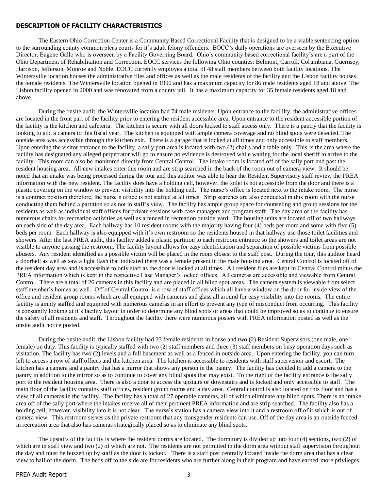#### **DESCRIPTION OF FACILITY CHARACTERISTICS**

The Eastern Ohio Correction Center is a Community Based Correctional Facility that is designed to be a viable sentencing option to the surrounding county common pleas courts for it's adult felony offenders. EOCC's daily operations are overseen by the Executive Director, Eugene Gallo who is overseen by a Facility Governing Board. Ohio's community based correctional facility's are a part of the Ohio Department of Rehabilitation and Correction. EOCC services the following Ohio counties: Belmont, Carroll, Columbiana, Guernsey, Harrison, Jefferson, Monroe and Noble. EOCC currently employes a total of 48 staff members between both facility locations. The Wintersville location houses the administrative files and offices as well as the male residents of the facility and the Lisbon facility houses the female residents. The Wintersville location opened in 1990 and has a maximum capacity for 86 male residents aged 18 and above. The Lisbon facility opened in 2000 and was renovated from a county jail. It has a maximum capacity for 35 female residents aged 18 and above.

During the onsite audit, the Wintersville location had 74 male residents. Upon entrance to the facililty, the administrative offices are located in the front part of the facility prior to entering the resident accessible area. Upon entrance to the resident accessible portion of the facility is the kitchen and cafeteria. The kitchen is secure with all doors locked to staff access only. There is a pantry that the facility is looking to add a camera to this fiscal year. The kitchen is equipped with ample camera coverage and no blind spots were detected. The outside area was accessible through the kitchen exit. There is a garage that is locked at all times and only accessible to staff members. Upon entering the visitor entrance to the facility, a sally port area is located with two (2) chairs and a table only. This is the area where the facility has designated any alleged perpetrator will go to ensure no evidence is destroyed while waiting for the local sheriff to arrive to the facility. This room can also be monitored directly from Central Control. The intake room is located off of the sally port and past the resident housing area. All new intakes enter this room and are strip searched in the back of the room out of camera view. It should be noted that an intake was being processed during the tour and this auditor was able to hear the Resident Supervisory staff review the PREA information with the new resident. The facility does have a holding cell, however, the toilet is not accessible from the door and there is a plastic covering on the window to prevent visibility into the holding cell. The nurse's office is located next to the intake room. The nurse is a contract position therefore, the nurse's office is not staffed at all times. Strip searches are also conducted in this room with the nurse conducting them behind a partition so as not in staff's view. The facility has ample group space for counseling and group sessions for the residents as well as individual staff offices for private sessions with case managers and program staff. The day area of the facility has numerous chairs for recreation activities as well as a fenced in recreation outside yard. The housing units are located off of two hallways on each side of the day area. Each hallway has 10 resident rooms with the majority having four (4) beds per room and some with five (5) beds per room. Each hallway is also equipped with it's own restroom so the residents housed in that hallway use those toilet facilities and showers. After the last PREA audit, this facility added a plastic partition to each restroom entrance so the showers and toilet areas are not visitble to anyone passing the restroom. The facility layout allows for easy identification and separation of possible victims from possible abusers. Any resident identified as a possible victim will be placed in the room closest to the staff post. During the tour, this auditor heard a doorbell as well as saw a light flash that indicated there was a female present in the male housing area. Central Control is located off of the resident day area and is accessible to only staff as the door is locked at all times. All resident files are kept in Central Control minus the PREA information which is kept in the respective Case Manager's locked offices. All cameras are accessible and viewable from Central Control. There are a total of 26 cameras in this facility and are placed in all blind spot areas. The camera system is viewable from select staff member's homes as well. Off of Central Control is a row of staff offices which all have a window on the door for inside view of the office and resident group rooms which are all equipped with cameras and glass all around for easy visibility into the rooms. The entire facility is amply staffed and equipped with numerous cameras in an effort to prevent any type of misconduct from occurring. This facility is constantly looking at it's facility layout in order to determine any blind spots or areas that could be improved so as to continue to ensure the safety of all residents and staff. Throughout the facility there were numerous posters with PREA information posted as well as the onsite audit notice posted.

During the onsite audit, the Lisbon facility had 33 female residents in house and two (2) Resident Supervisors (one male, one female) on duty. This facility is typically staffed with two (2) staff members and three (3) staff members on busy operation days such as visitation. The facility has two (2) levels and a full basement as well as a fenced in outside area. Upon entering the facility, you can turn left to access a row of staff offices and the kitchen area. The kitchen is accessible to residents with staff supervision and escort. The kitchen has a camera and a pantry that has a mirror that shows any person in the pantry. The facility has decided to add a camera to the pantry in addition to the mirror so as to continue to cover any blind spots that may exist. To the right of the facility entrance is the sally port to the resident housing area. There is also a door to access the upstairs or downstairs and is locked and only accessible to staff. The main floor of the facility contains staff offices, resident group rooms and a day area. Central control is also located on this floor and has a view of all cameras in the facility. The facility has a total of 27 operable cameras, all of which eliminate any blind spots. There is an intake area off of the sally port where the intakes receive all of their pertinent PREA information and are strip searched. The facility also has a holding cell, however, visibility into it is not clear. The nurse's station has a camera view into it and a restroom off of it which is out of camera view. This restroom serves as the private restroom that any transgender residents can use. Off of the day area is an outside fenced in recreation area that also has cameras strategically placed so as to eliminate any blind spots.

The upstairs of the facility is where the resident dorms are located. The dormitory is divided up into four (4) sections, two (2) of which are in staff view and two (2) of which are not. The residents are not permitted in the dorm area without staff supervision throughout the day and must be buzzed up by staff as the door is locked. There is a staff post centrally located inside the dorm area that has a clear view to half of the dorm. The beds off to the side are for residents who are further along in their program and have earned more privileges.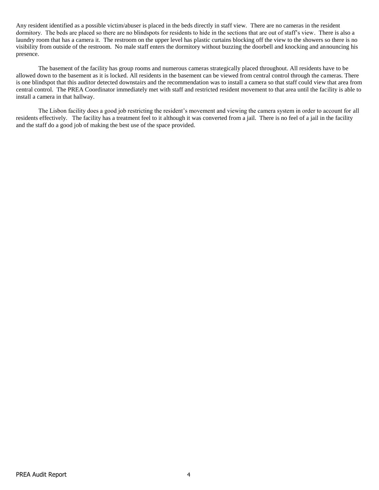Any resident identified as a possible victim/abuser is placed in the beds directly in staff view. There are no cameras in the resident dormitory. The beds are placed so there are no blindspots for residents to hide in the sections that are out of staff's view. There is also a laundry room that has a camera it. The restroom on the upper level has plastic curtains blocking off the view to the showers so there is no visibility from outside of the restroom. No male staff enters the dormitory without buzzing the doorbell and knocking and announcing his presence.

The basement of the facility has group rooms and numerous cameras strategically placed throughout. All residents have to be allowed down to the basement as it is locked. All residents in the basement can be viewed from central control through the cameras. There is one blindspot that this auditor detected downstairs and the recommendation was to install a camera so that staff could view that area from central control. The PREA Coordinator immediately met with staff and restricted resident movement to that area until the facility is able to install a camera in that hallway.

The Lisbon facility does a good job restricting the resident's movement and viewing the camera system in order to account for all residents effectively. The facility has a treatment feel to it although it was converted from a jail. There is no feel of a jail in the facility and the staff do a good job of making the best use of the space provided.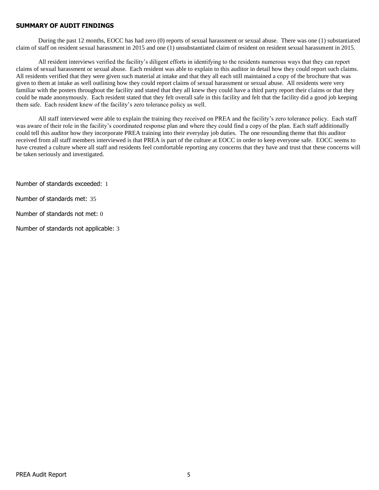#### **SUMMARY OF AUDIT FINDINGS**

During the past 12 months, EOCC has had zero (0) reports of sexual harassment or sexual abuse. There was one (1) substantiated claim of staff on resident sexual harassment in 2015 and one (1) unsubstantiated claim of resident on resident sexual harassment in 2015.

All resident interviews verified the facility's diligent efforts in identifying to the residents numerous ways that they can report claims of sexual harassment or sexual abuse. Each resident was able to explain to this auditor in detail how they could report such claims. All residents verified that they were given such material at intake and that they all each still maintained a copy of the brochure that was given to them at intake as well outlining how they could report claims of sexual harassment or sexual abuse. All residents were very familiar with the posters throughout the facility and stated that they all knew they could have a third party report their claims or that they could be made anonymously. Each resident stated that they felt overall safe in this facility and felt that the facility did a good job keeping them safe. Each resident knew of the facility's zero tolerance policy as well.

All staff interviewed were able to explain the training they received on PREA and the facility's zero tolerance policy. Each staff was aware of their role in the facility's coordinated response plan and where they could find a copy of the plan. Each staff additionally could tell this auditor how they incorporate PREA training into their everyday job duties. The one resounding theme that this auditor received from all staff members interviewed is that PREA is part of the culture at EOCC in order to keep everyone safe. EOCC seems to have created a culture where all staff and residents feel comfortable reporting any concerns that they have and trust that these concerns will be taken seriously and investigated.

Number of standards exceeded: 1

Number of standards met: 35

Number of standards not met: 0

Number of standards not applicable: 3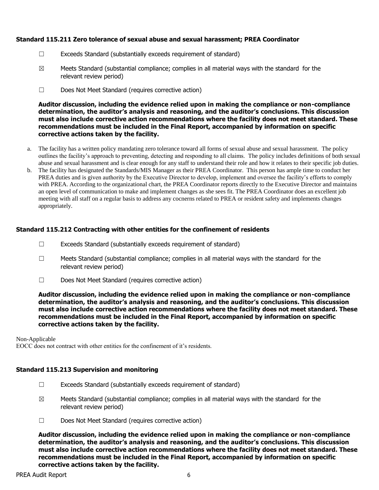### **Standard 115.211 Zero tolerance of sexual abuse and sexual harassment; PREA Coordinator**

- ☐ Exceeds Standard (substantially exceeds requirement of standard)
- $\boxtimes$  Meets Standard (substantial compliance; complies in all material ways with the standard for the relevant review period)
- ☐ Does Not Meet Standard (requires corrective action)

**Auditor discussion, including the evidence relied upon in making the compliance or non-compliance determination, the auditor's analysis and reasoning, and the auditor's conclusions. This discussion must also include corrective action recommendations where the facility does not meet standard. These recommendations must be included in the Final Report, accompanied by information on specific corrective actions taken by the facility.**

- a. The facility has a written policy mandating zero tolerance toward all forms of sexual abuse and sexual harassment. The policy outlines the facility's approach to preventing, detecting and responding to all claims. The policy includes definitions of both sexual abuse and sexual harassment and is clear enough for any staff to understand their role and how it relates to their specific job duties.
- b. The facility has designated the Standards/MIS Manager as their PREA Coordinator. This person has ample time to conduct her PREA duties and is given authority by the Executive Director to develop, implement and oversee the facility's efforts to comply with PREA. According to the organizational chart, the PREA Coordinator reports directly to the Executive Director and maintains an open level of communication to make and implement changes as she sees fit. The PREA Coordinator does an excellent job meeting with all staff on a regular basis to address any cocnerns related to PREA or resident safety and implements changes appropriately.

#### **Standard 115.212 Contracting with other entities for the confinement of residents**

- ☐ Exceeds Standard (substantially exceeds requirement of standard)
- ☐ Meets Standard (substantial compliance; complies in all material ways with the standard for the relevant review period)
- ☐ Does Not Meet Standard (requires corrective action)

**Auditor discussion, including the evidence relied upon in making the compliance or non-compliance determination, the auditor's analysis and reasoning, and the auditor's conclusions. This discussion must also include corrective action recommendations where the facility does not meet standard. These recommendations must be included in the Final Report, accompanied by information on specific corrective actions taken by the facility.**

Non-Applicable EOCC does not contract with other entities for the confinement of it's residents.

#### **Standard 115.213 Supervision and monitoring**

- ☐ Exceeds Standard (substantially exceeds requirement of standard)
- $\boxtimes$  Meets Standard (substantial compliance; complies in all material ways with the standard for the relevant review period)
- ☐ Does Not Meet Standard (requires corrective action)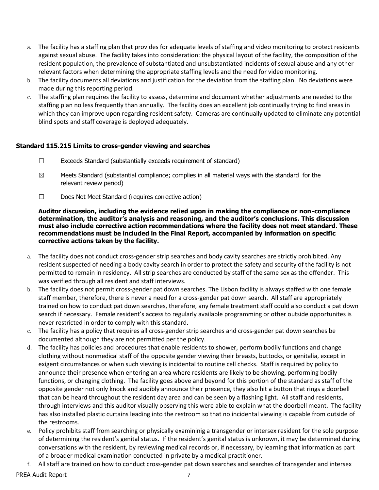- a. The facility has a staffing plan that provides for adequate levels of staffing and video monitoring to protect residents against sexual abuse. The facility takes into consideration: the physical layout of the facility, the composition of the resident population, the prevalence of substantiated and unsubstantiated incidents of sexual abuse and any other relevant factors when determining the appropriate staffing levels and the need for video monitoring.
- b. The facility documents all deviations and justification for the deviation from the staffing plan. No deviations were made during this reporting period.
- c. The staffing plan requires the facility to assess, determine and document whether adjustments are needed to the staffing plan no less frequently than annually. The facility does an excellent job continually trying to find areas in which they can improve upon regarding resident safety. Cameras are continually updated to eliminate any potential blind spots and staff coverage is deployed adequately.

# **Standard 115.215 Limits to cross-gender viewing and searches**

- ☐ Exceeds Standard (substantially exceeds requirement of standard)
- $\boxtimes$  Meets Standard (substantial compliance; complies in all material ways with the standard for the relevant review period)
- ☐ Does Not Meet Standard (requires corrective action)

- a. The facility does not conduct cross-gender strip searches and body cavity searches are strictly prohibited. Any resident suspected of needing a body cavity search in order to protect the safety and security of the facility is not permitted to remain in residency. All strip searches are conducted by staff of the same sex as the offender. This was verified through all resident and staff interviews.
- b. The facility does not permit cross-gender pat down searches. The Lisbon facility is always staffed with one female staff member, therefore, there is never a need for a cross-gender pat down search. All staff are appropriately trained on how to conduct pat down searches, therefore, any female treatment staff could also conduct a pat down search if necessary. Female resident's access to regularly available programming or other outside opportunites is never restricted in order to comply with this standard.
- c. The facility has a policy that requires all cross-gender strip searches and cross-gender pat down searches be documented although they are not permitted per the policy.
- d. The facility has policies and procedures that enable residents to shower, perform bodily functions and change clothing without nonmedical staff of the opposite gender viewing their breasts, buttocks, or genitalia, except in exigent circumstances or when such viewing is incidental to routine cell checks. Staff is required by policy to announce their presence when entering an area where residents are likely to be showing, performing bodily functions, or changing clothing. The facility goes above and beyond for this portion of the standard as staff of the opposite gender not only knock and audibly announce their presence, they also hit a button that rings a doorbell that can be heard throughout the resident day area and can be seen by a flashing light. All staff and residents, through interviews and this auditor visually observing this were able to explain what the doorbell meant. The facility has also installed plastic curtains leading into the restroom so that no incidental viewing is capable from outside of the restrooms.
- e. Policy prohibits staff from searching or physically examininig a transgender or intersex resident for the sole purpose of determining the resident's genital status. If the resident's genital status is unknown, it may be determined during conversations with the resident, by reviewing medical records or, if necessary, by learning that information as part of a broader medical examination conducted in private by a medical practitioner.
- f. All staff are trained on how to conduct cross-gender pat down searches and searches of transgender and intersex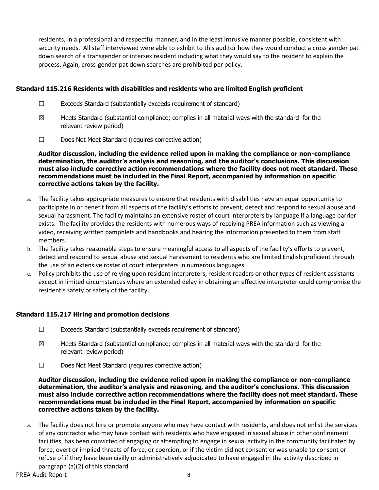residents, in a professional and respectful manner, and in the least intrusive manner possible, consistent with security needs. All staff interviewed were able to exhibit to this auditor how they would conduct a cross gender pat down search of a transgender or intersex resident including what they would say to the resident to explain the process. Again, cross-gender pat down searches are prohibited per policy.

# **Standard 115.216 Residents with disabilities and residents who are limited English proficient**

- ☐ Exceeds Standard (substantially exceeds requirement of standard)
- $\boxtimes$  Meets Standard (substantial compliance; complies in all material ways with the standard for the relevant review period)
- ☐ Does Not Meet Standard (requires corrective action)

**Auditor discussion, including the evidence relied upon in making the compliance or non-compliance determination, the auditor's analysis and reasoning, and the auditor's conclusions. This discussion must also include corrective action recommendations where the facility does not meet standard. These recommendations must be included in the Final Report, accompanied by information on specific corrective actions taken by the facility.**

- a. The facility takes appropriate measures to ensure that residents with disabilities have an equal opportunity to participate in or benefit from all aspects of the facility's efforts to prevent, detect and respond to sexual abuse and sexual harassment. The facility maintains an extensive roster of court interpreters by language if a language barrier exists. The facility provides the residents with numerous ways of receiving PREA information such as viewing a video, receiving written pamphlets and handbooks and hearing the information presented to them from staff members.
- b. The facility takes reasonable steps to ensure meaningful access to all aspects of the facility's efforts to prevent, detect and respond to sexual abuse and sexual harassment to residents who are limited English proficient through the use of an extensive roster of court interpreters in numerous languages.
- c. Policy prohibits the use of relying upon resident interpreters, resident readers or other types of resident assistants except in limited circumstances where an extended delay in obtaining an effective interpreter could compromise the resident's safety or safety of the facility.

# **Standard 115.217 Hiring and promotion decisions**

- ☐ Exceeds Standard (substantially exceeds requirement of standard)
- $\boxtimes$  Meets Standard (substantial compliance; complies in all material ways with the standard for the relevant review period)
- ☐ Does Not Meet Standard (requires corrective action)

**Auditor discussion, including the evidence relied upon in making the compliance or non-compliance determination, the auditor's analysis and reasoning, and the auditor's conclusions. This discussion must also include corrective action recommendations where the facility does not meet standard. These recommendations must be included in the Final Report, accompanied by information on specific corrective actions taken by the facility.**

a. The facility does not hire or promote anyone who may have contact with residents, and does not enlist the services of any contractor who may have contact with residents who have engaged in sexual abuse in other confinement facilities, has been convicted of engaging or attempting to engage in sexual activity in the community facilitated by force, overt or implied threats of force, or coercion, or if the victim did not consent or was unable to consent or refuse of if they have been civilly or administratively adjudicated to have engaged in the activity described in paragraph (a)(2) of this standard.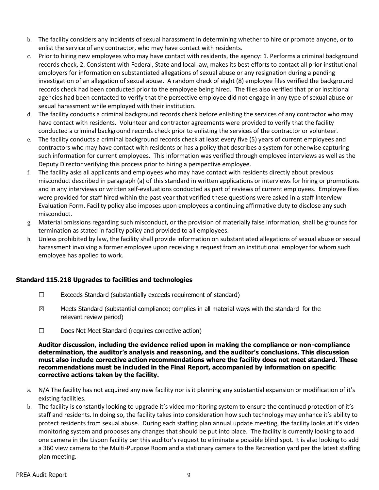- b. The facility considers any incidents of sexual harassment in determining whether to hire or promote anyone, or to enlist the service of any contractor, who may have contact with residents.
- c. Prior to hiring new employees who may have contact with residents, the agency: 1. Performs a criminal background records check, 2. Consistent with Federal, State and local law, makes its best efforts to contact all prior institutional employers for information on substantiated allegations of sexual abuse or any resignation during a pending investigation of an allegation of sexual abuse. A random check of eight (8) employee files verified the background records check had been conducted prior to the employee being hired. The files also verified that prior institional agencies had been contacted to verify that the persective employee did not engage in any type of sexual abuse or sexual harassment while employed with their institution.
- d. The facility conducts a criminal background records check before enlisting the services of any contractor who may have contact with residents. Volunteer and contractor agreements were provided to verify that the facility conducted a criminal background records check prior to enlisting the services of the contractor or volunteer.
- e. The facility conducts a criminal background records check at least every five (5) years of current employees and contractors who may have contact with residents or has a policy that describes a system for otherwise capturing such information for current employees. This information was verified through employee interviews as well as the Deputy Director verifying this process prior to hiring a perspective employee.
- f. The facility asks all applicants and employees who may have contact with residents directly about previous misconduct described in paragraph (a) of this standard in written applications or interviews for hiring or promotions and in any interviews or written self-evaluations conducted as part of reviews of current employees. Employee files were provided for staff hired within the past year that verified these questions were asked in a staff Interview Evaluation Form. Facility policy also imposes upon employees a continuing affirmative duty to disclose any such misconduct.
- g. Material omissions regarding such misconduct, or the provision of materially false information, shall be grounds for termination as stated in facility policy and provided to all employees.
- h. Unless prohibited by law, the facility shall provide information on substantiated allegations of sexual abuse or sexual harassment involving a former employee upon receiving a request from an institutional employer for whom such employee has applied to work.

# **Standard 115.218 Upgrades to facilities and technologies**

- ☐ Exceeds Standard (substantially exceeds requirement of standard)
- $\boxtimes$  Meets Standard (substantial compliance; complies in all material ways with the standard for the relevant review period)
- ☐ Does Not Meet Standard (requires corrective action)

- a. N/A The facility has not acquired any new facility nor is it planning any substantial expansion or modification of it's existing facilities.
- b. The facility is constantly looking to upgrade it's video monitoring system to ensure the continued protection of it's staff and residents. In doing so, the facility takes into consideration how such technology may enhance it's ability to protect residents from sexual abuse. During each staffing plan annual update meeting, the facility looks at it's video monitoring system and proposes any changes that should be put into place. The facility is currently looking to add one camera in the Lisbon facility per this auditor's request to eliminate a possible blind spot. It is also looking to add a 360 view camera to the Multi-Purpose Room and a stationary camera to the Recreation yard per the latest staffing plan meeting.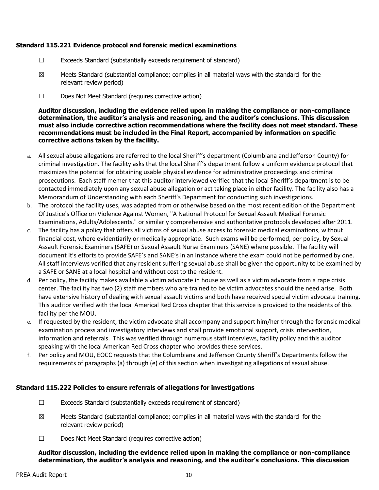# **Standard 115.221 Evidence protocol and forensic medical examinations**

- ☐ Exceeds Standard (substantially exceeds requirement of standard)
- $\boxtimes$  Meets Standard (substantial compliance; complies in all material ways with the standard for the relevant review period)
- ☐ Does Not Meet Standard (requires corrective action)

**Auditor discussion, including the evidence relied upon in making the compliance or non-compliance determination, the auditor's analysis and reasoning, and the auditor's conclusions. This discussion must also include corrective action recommendations where the facility does not meet standard. These recommendations must be included in the Final Report, accompanied by information on specific corrective actions taken by the facility.**

- a. All sexual abuse allegations are referred to the local Sheriff's department (Columbiana and Jefferson County) for criminal investigation. The facility asks that the local Sheriff's department follow a uniform evidence protocol that maximizes the potential for obtaining usable physical evidence for administrative proceedings and criminal prosecutions. Each staff memer that this auditor interviewed verified that the local Sheriff's department is to be contacted immediately upon any sexual abuse allegation or act taking place in either facility. The facility also has a Memorandum of Understanding with each Sheriff's Department for conducting such investigations.
- b. The protocol the facility uses, was adapted from or otherwise based on the most recent edition of the Department Of Justice's Office on Violence Against Women, "A National Protocol for Sexual Assault Medical Forensic Examinations, Adults/Adolescents," or similarly comprehensive and authoritative protocols developed after 2011.
- c. The facility has a policy that offers all victims of sexual abuse access to forensic medical examinations, without financial cost, where evidentiarily or medically appropriate. Such exams will be performed, per policy, by Sexual Assault Forensic Examiners (SAFE) or Sexual Assault Nurse Examiners (SANE) where possible. The facility will document it's efforts to provide SAFE's and SANE's in an instance where the exam could not be performed by one. All staff interviews verified that any resident suffering sexual abuse shall be given the opportunity to be examined by a SAFE or SANE at a local hospital and without cost to the resident.
- d. Per policy, the facility makes available a victim advocate in house as well as a victim advocate from a rape crisis center. The facility has two (2) staff members who are trained to be victim advocates should the need arise. Both have extensive history of dealing with sexual assault victims and both have received special victim advocate training. This auditor verified with the local Americal Red Cross chapter that this service is provided to the residents of this facility per the MOU.
- e. If requested by the resident, the victim advocate shall accompany and support him/her through the forensic medical examination process and investigatory interviews and shall provide emotional support, crisis intervention, information and referrals. This was verified through numerous staff interviews, facility policy and this auditor speaking with the local American Red Cross chapter who provides these services.
- f. Per policy and MOU, EOCC requests that the Columbiana and Jefferson County Sheriff's Departments follow the requirements of paragraphs (a) through (e) of this section when investigating allegations of sexual abuse.

# **Standard 115.222 Policies to ensure referrals of allegations for investigations**

- $\Box$  Exceeds Standard (substantially exceeds requirement of standard)
- $\boxtimes$  Meets Standard (substantial compliance; complies in all material ways with the standard for the relevant review period)
- ☐ Does Not Meet Standard (requires corrective action)

### **Auditor discussion, including the evidence relied upon in making the compliance or non-compliance determination, the auditor's analysis and reasoning, and the auditor's conclusions. This discussion**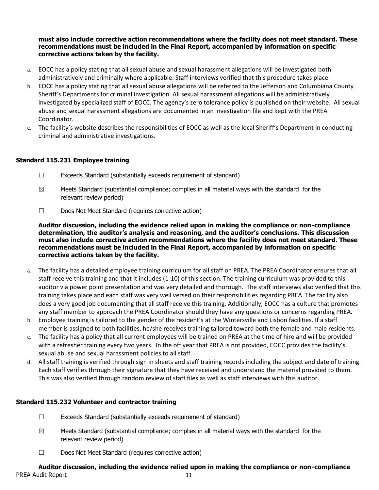# **must also include corrective action recommendations where the facility does not meet standard. These recommendations must be included in the Final Report, accompanied by information on specific corrective actions taken by the facility.**

- a. EOCC has a policy stating that all sexual abuse and sexual harassment allegations will be investigated both administratively and criminally where applicable. Staff interviews verified that this procedure takes place.
- b. EOCC has a policy stating that all sexual abuse allegations will be referred to the Jefferson and Columbiana County Sheriff's Departments for criminal investigation. All sexual harassment allegations will be administratively investigated by specialized staff of EOCC. The agency's zero tolerance policy is published on their website. All sexual abuse and sexual harassment allegations are documented in an investigation file and kept with the PREA Coordinator.
- c. The facility's website describes the responsibilities of EOCC as well as the local Sheriff's Department in conducting criminal and administrative investigations.

# **Standard 115.231 Employee training**

- ☐ Exceeds Standard (substantially exceeds requirement of standard)
- $\boxtimes$  Meets Standard (substantial compliance; complies in all material ways with the standard for the relevant review period)
- ☐ Does Not Meet Standard (requires corrective action)

**Auditor discussion, including the evidence relied upon in making the compliance or non-compliance determination, the auditor's analysis and reasoning, and the auditor's conclusions. This discussion must also include corrective action recommendations where the facility does not meet standard. These recommendations must be included in the Final Report, accompanied by information on specific corrective actions taken by the facility.**

- a. The facility has a detailed employee training curriculum for all staff on PREA. The PREA Coordinator ensures that all staff receive this training and that it includes (1-10) of this section. The training curriculum was provided to this auditor via power point presentation and was very detailed and thorough. The staff interviews also verified that this training takes place and each staff was very well versed on their responsibilities regarding PREA. The facility also does a very good job documenting that all staff receive this training. Additionally, EOCC has a culture that promotes any staff member to approach the PREA Coordinator should they have any questions or concerns regarding PREA.
- b. Employee training is tailored to the gender of the resident's at the Wintersville and Lisbon facilities. If a staff member is assigned to both facilities, he/she receives training tailored toward both the female and male residents.
- c. The facility has a policy that all current employees will be trained on PREA at the time of hire and will be provided with a refresher training every two years. In the off year that PREA is not provided, EOCC provides the facility's sexual abuse and sexual harassment policies to all staff.
- d. All staff training is verified through sign in sheets and staff training records including the subject and date of training. Each staff verifies through their signature that they have received and understand the material provided to them. This was also verified through random review of staff files as well as staff interviews with this auditor.

# **Standard 115.232 Volunteer and contractor training**

- ☐ Exceeds Standard (substantially exceeds requirement of standard)
- $\boxtimes$  Meets Standard (substantial compliance; complies in all material ways with the standard for the relevant review period)
- ☐ Does Not Meet Standard (requires corrective action)

# PREA Audit Report 11 **Auditor discussion, including the evidence relied upon in making the compliance or non-compliance**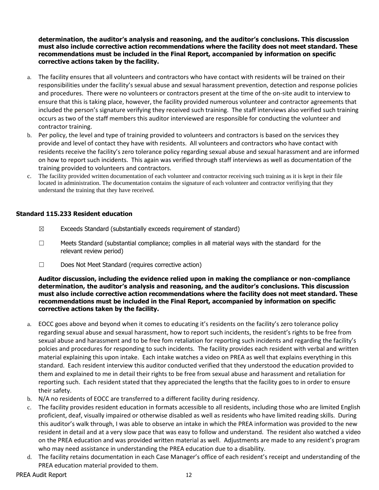**determination, the auditor's analysis and reasoning, and the auditor's conclusions. This discussion must also include corrective action recommendations where the facility does not meet standard. These recommendations must be included in the Final Report, accompanied by information on specific corrective actions taken by the facility.**

- a. The facility ensures that all volunteers and contractors who have contact with residents will be trained on their responsibilities under the facility's sexual abuse and sexual harassment prevention, detection and response policies and procedures. There were no volunteers or contractors present at the time of the on-site audit to interview to ensure that this is taking place, however, the facility provided numerous volunteer and contractor agreements that included the person's signature verifying they received such training. The staff interviews also verified such training occurs as two of the staff members this auditor interviewed are responsible for conducting the volunteer and contractor training.
- b. Per policy, the level and type of training provided to volunteers and contractors is based on the services they provide and level of contact they have with residents. All volunteers and contractors who have contact with residents receive the facility's zero tolerance policy regarding sexual abuse and sexual harassment and are informed on how to report such incidents. This again was verified through staff interviews as well as documentation of the training provided to volunteers and contractors.
- c. The facility provided written documentation of each volunteer and contractor receiving such training as it is kept in their file located in administration. The documentation contains the signature of each volunteer and contractor verifiying that they understand the training that they have received.

# **Standard 115.233 Resident education**

- $\boxtimes$  Exceeds Standard (substantially exceeds requirement of standard)
- $\Box$  Meets Standard (substantial compliance; complies in all material ways with the standard for the relevant review period)
- ☐ Does Not Meet Standard (requires corrective action)

- a. EOCC goes above and beyond when it comes to educating it's residents on the facility's zero tolerance policy regarding sexual abuse and sexual harassment, how to report such incidents, the resident's rights to be free from sexual abuse and harassment and to be free fom retaliation for reporting such incidents and regarding the facility's polcies and procedures for responding to such incidents. The facility provides each resident with verbal and written material explaining this upon intake. Each intake watches a video on PREA as well that explains everything in this standard. Each resident interview this auditor conducted verified that they understood the education provided to them and explained to me in detail their rights to be free from sexual abuse and harassment and retaliation for reporting such. Each resident stated that they appreciated the lengths that the facility goes to in order to ensure their safety.
- b. N/A no residents of EOCC are transferred to a different facility during residency.
- c. The facility provides resident education in formats accessible to all residents, including those who are limited English proficient, deaf, visually impaired or otherwise disabled as well as residents who have limited reading skills. During this auditor's walk through, I was able to observe an intake in which the PREA information was provided to the new resident in detail and at a very slow pace that was easy to follow and understand. The resident also watched a video on the PREA education and was provided written material as well. Adjustments are made to any resident's program who may need assistance in understanding the PREA education due to a disability.
- d. The facility retains documentation in each Case Manager's office of each resident's receipt and understanding of the PREA education material provided to them.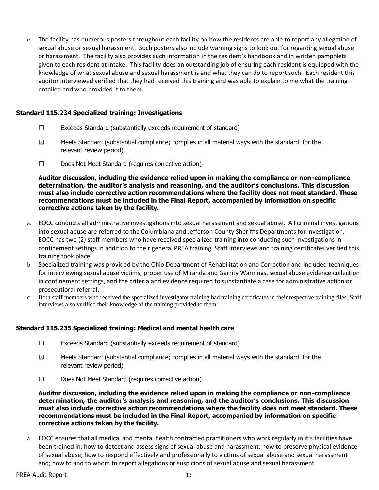e. The facility has numerous posters throughout each facility on how the residents are able to report any allegation of sexual abuse or sexual harassment. Such posters also include warning signs to look out for regarding sexual abuse or harassment. The facility also provides such information in the resident's handbook and in written pamphlets given to each resident at intake. This facility does an outstanding job of ensuring each resident is equipped with the knowledge of what sexual abuse and sexual harassment is and what they can do to report such. Each resident this auditor interviewed verified that they had received this training and was able to explain to me what the training entailed and who provided it to them.

## **Standard 115.234 Specialized training: Investigations**

- $\Box$  Exceeds Standard (substantially exceeds requirement of standard)
- $\boxtimes$  Meets Standard (substantial compliance; complies in all material ways with the standard for the relevant review period)
- ☐ Does Not Meet Standard (requires corrective action)

**Auditor discussion, including the evidence relied upon in making the compliance or non-compliance determination, the auditor's analysis and reasoning, and the auditor's conclusions. This discussion must also include corrective action recommendations where the facility does not meet standard. These recommendations must be included in the Final Report, accompanied by information on specific corrective actions taken by the facility.**

- a. EOCC conducts all administrative investigations into sexual harassment and sexual abuse. All criminal investigations into sexual abuse are referred to the Columbiana and Jefferson County Sheriff's Departments for investigation. EOCC has two (2) staff members who have received specialized training into conducting such investigations in confinement settings in addition to their general PREA training. Staff interviews and training certificates verified this training took place.
- b. Specialized training was provided by the Ohio Department of Rehabilitation and Correction and included techniques for interviewing sexual abuse victims, proper use of Miranda and Garrity Warnings, sexual abuse evidence collection in confinement settings, and the criteria and evidence required to substantiate a case for administrative action or prosecutioral referral.
- c. Both staff members who received the specialized investigator training had training certificates in their respective training files. Staff interviews also verified their knowledge of the training provided to them.

# **Standard 115.235 Specialized training: Medical and mental health care**

- ☐ Exceeds Standard (substantially exceeds requirement of standard)
- $\boxtimes$  Meets Standard (substantial compliance; complies in all material ways with the standard for the relevant review period)
- ☐ Does Not Meet Standard (requires corrective action)

**Auditor discussion, including the evidence relied upon in making the compliance or non-compliance determination, the auditor's analysis and reasoning, and the auditor's conclusions. This discussion must also include corrective action recommendations where the facility does not meet standard. These recommendations must be included in the Final Report, accompanied by information on specific corrective actions taken by the facility.**

a. EOCC ensures that all medical and mental health contracted practitioners who work regularly in it's facilities have been trained in: how to detect and assess signs of sexual abuse and harassment; how to preserve physical evidence of sexual abuse; how to respond effectively and professionally to victims of sexual abuse and sexual harassment and; how to and to whom to report allegations or suspicions of sexual abuse and sexual harassment.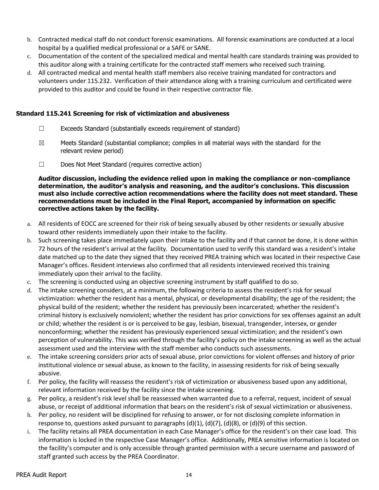- b. Contracted medical staff do not conduct forensic examinations. All forensic examinations are conducted at a local hospital by a qualified medical professional or a SAFE or SANE.
- c. Documentation of the content of the specialized medical and mental health care standards training was provided to this auditor along with a training certificate for the contracted staff memers who received such training.
- d. All contracted medical and mental health staff members also receive training mandated for contractors and volunteers under 115.232. Verification of their attendance along with a training curriculum and certificated were provided to this auditor and could be found in their respective contractor file.

# **Standard 115.241 Screening for risk of victimization and abusiveness**

- ☐ Exceeds Standard (substantially exceeds requirement of standard)
- $\boxtimes$  Meets Standard (substantial compliance; complies in all material ways with the standard for the relevant review period)
- ☐ Does Not Meet Standard (requires corrective action)

- a. All residents of EOCC are screened for their risk of being sexually abused by other residents or sexually abusive toward other residents immediately upon their intake to the facility.
- b. Such screening takes place immediately upon their intake to the facility and if that cannot be done, it is done within 72 hours of the resident's arrival at the facility. Documentation used to verify this standard was a resident's intake date matched up to the date they signed that they received PREA training which was located in their respective Case Manager's offices. Resident interviews also confirmed that all residents interviewed received this training immediately upon their arrival to the facility.
- c. The screening is conducted using an objective screening instrument by staff qualified to do so.
- d. The intake screening considers, at a minimum, the following criteria to assess the resident's risk for sexual victimization: whether the resident has a mental, physical, or developmental disability; the age of the resident; the physical build of the resident; whether the resident has previously been incarcerated; whether the resident's criminal history is exclusively nonviolent; whether the resident has prior convictions for sex offenses against an adult or child; whether the resident is or is perceived to be gay, lesbian, bisexual, transgender, intersex, or gender nonconforming; whether the resident has previously experienced sexual victimization; and the resident's own perception of vulnerability. This was verified through the facility's policy on the intake screening as well as the actual assessment used and the interview with the staff member who conducts such assessments.
- e. The intake screening considers prior acts of sexual abuse, prior convictions for violent offenses and history of prior institutional violence or sexual abuse, as known to the facility, in assessing residents for risk of being sexually abusive.
- f. Per policy, the facility will reassess the resident's risk of victimization or abusiveness based upon any additional, relevant information received by the facility since the intake screening.
- g. Per policy, a resident's risk level shall be reassessed when warranted due to a referral, request, incident of sexual abuse, or receipt of additional information that bears on the resident's risk of sexual victimization or abusiveness.
- h. Per policy, no resident will be disciplined for refusing to answer, or for not disclosing complete information in response to, questions asked pursuant to paragraphs (d)(1), (d)(7), (d)(8), or (d)(9) of this section.
- i. The facility retains all PREA documentation in each Case Manager's office for the resident's on their case load. This information is locked in the respective Case Manager's office. Additionally, PREA sensitive information is located on the facility's computer and is only accessible through granted permission with a secure username and password of staff granted such access by the PREA Coordinator.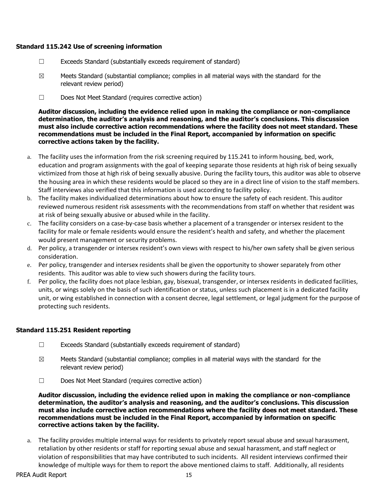# **Standard 115.242 Use of screening information**

- ☐ Exceeds Standard (substantially exceeds requirement of standard)
- $\boxtimes$  Meets Standard (substantial compliance; complies in all material ways with the standard for the relevant review period)
- ☐ Does Not Meet Standard (requires corrective action)

**Auditor discussion, including the evidence relied upon in making the compliance or non-compliance determination, the auditor's analysis and reasoning, and the auditor's conclusions. This discussion must also include corrective action recommendations where the facility does not meet standard. These recommendations must be included in the Final Report, accompanied by information on specific corrective actions taken by the facility.**

- a. The facility uses the information from the risk screening required by 115.241 to inform housing, bed, work, education and program assignments with the goal of keeping separate those residents at high risk of being sexually victimized from those at high risk of being sexually abusive. During the facility tours, this auditor was able to observe the housing area in which these residents would be placed so they are in a direct line of vision to the staff members. Staff interviews also verified that this information is used according to facility policy.
- b. The facility makes individualized determinations about how to ensure the safety of each resident. This auditor reviewed numerous resident risk assessments with the recommendations from staff on whether that resident was at risk of being sexually abusive or abused while in the facility.
- c. The facility considers on a case-by-case basis whether a placement of a transgender or intersex resident to the facility for male or female residents would ensure the resident's health and safety, and whether the placement would present management or security problems.
- d. Per policy, a transgender or intersex resident's own views with respect to his/her own safety shall be given serious consideration.
- e. Per policy, transgender and intersex residents shall be given the opportunity to shower separately from other residents. This auditor was able to view such showers during the facility tours.
- f. Per policy, the facility does not place lesbian, gay, bisexual, transgender, or intersex residents in dedicated facilities, units, or wings solely on the basis of such identification or status, unless such placement is in a dedicated facility unit, or wing established in connection with a consent decree, legal settlement, or legal judgment for the purpose of protecting such residents.

# **Standard 115.251 Resident reporting**

- ☐ Exceeds Standard (substantially exceeds requirement of standard)
- $\boxtimes$  Meets Standard (substantial compliance; complies in all material ways with the standard for the relevant review period)
- ☐ Does Not Meet Standard (requires corrective action)

**Auditor discussion, including the evidence relied upon in making the compliance or non-compliance determination, the auditor's analysis and reasoning, and the auditor's conclusions. This discussion must also include corrective action recommendations where the facility does not meet standard. These recommendations must be included in the Final Report, accompanied by information on specific corrective actions taken by the facility.**

a. The facility provides multiple internal ways for residents to privately report sexual abuse and sexual harassment, retaliation by other residents or staff for reporting sexual abuse and sexual harassment, and staff neglect or violation of responsibilities that may have contributed to such incidents. All resident interviews confirmed their knowledge of multiple ways for them to report the above mentioned claims to staff. Additionally, all residents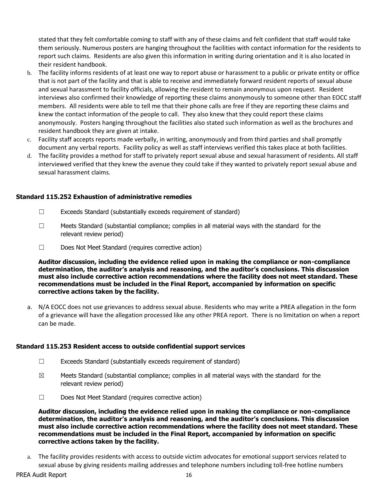stated that they felt comfortable coming to staff with any of these claims and felt confident that staff would take them seriously. Numerous posters are hanging throughout the facilities with contact information for the residents to report such claims. Residents are also given this information in writing during orientation and it is also located in their resident handbook.

- b. The facility informs residents of at least one way to report abuse or harassment to a public or private entity or office that is not part of the facility and that is able to receive and immediately forward resident reports of sexual abuse and sexual harassment to facility officials, allowing the resident to remain anonymous upon request. Resident interviews also confirmed their knowledge of reporting these claims anonymously to someone other than EOCC staff members. All residents were able to tell me that their phone calls are free if they are reporting these claims and knew the contact information of the people to call. They also knew that they could report these claims anonymously. Posters hanging throughout the facilities also stated such information as well as the brochures and resident handbook they are given at intake.
- c. Facility staff accepts reports made verbally, in writing, anonymously and from third parties and shall promptly document any verbal reports. Facility policy as well as staff interviews verified this takes place at both facilities.
- d. The facility provides a method for staff to privately report sexual abuse and sexual harassment of residents. All staff interviewed verified that they knew the avenue they could take if they wanted to privately report sexual abuse and sexual harassment claims.

### **Standard 115.252 Exhaustion of administrative remedies**

- ☐ Exceeds Standard (substantially exceeds requirement of standard)
- $\Box$  Meets Standard (substantial compliance; complies in all material ways with the standard for the relevant review period)
- ☐ Does Not Meet Standard (requires corrective action)

**Auditor discussion, including the evidence relied upon in making the compliance or non-compliance determination, the auditor's analysis and reasoning, and the auditor's conclusions. This discussion must also include corrective action recommendations where the facility does not meet standard. These recommendations must be included in the Final Report, accompanied by information on specific corrective actions taken by the facility.**

a. N/A EOCC does not use grievances to address sexual abuse. Residents who may write a PREA allegation in the form of a grievance will have the allegation processed like any other PREA report. There is no limitation on when a report can be made.

#### **Standard 115.253 Resident access to outside confidential support services**

- $\Box$  Exceeds Standard (substantially exceeds requirement of standard)
- $\boxtimes$  Meets Standard (substantial compliance; complies in all material ways with the standard for the relevant review period)
- ☐ Does Not Meet Standard (requires corrective action)

**Auditor discussion, including the evidence relied upon in making the compliance or non-compliance determination, the auditor's analysis and reasoning, and the auditor's conclusions. This discussion must also include corrective action recommendations where the facility does not meet standard. These recommendations must be included in the Final Report, accompanied by information on specific corrective actions taken by the facility.**

a. The facility provides residents with access to outside victim advocates for emotional support services related to sexual abuse by giving residents mailing addresses and telephone numbers including toll-free hotline numbers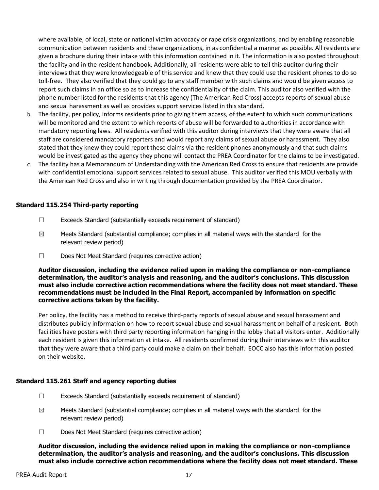where available, of local, state or national victim advocacy or rape crisis organizations, and by enabling reasonable communication between residents and these organizations, in as confidential a manner as possible. All residents are given a brochure during their intake with this information contained in it. The information is also posted throughout the facility and in the resident handbook. Additionally, all residents were able to tell this auditor during their interviews that they were knowledgeable of this service and knew that they could use the resident phones to do so toll-free. They also verified that they could go to any staff member with such claims and would be given access to report such claims in an office so as to increase the confidentiality of the claim. This auditor also verified with the phone number listed for the residents that this agency (The American Red Cross) accepts reports of sexual abuse and sexual harassment as well as provides support services listed in this standard.

- b. The facility, per policy, informs residents prior to giving them access, of the extent to which such communications will be monitored and the extent to which reports of abuse will be forwarded to authorities in accordance with mandatory reporting laws. All residents verified with this auditor during interviews that they were aware that all staff are considered mandatory reporters and would report any claims of sexual abuse or harassment. They also stated that they knew they could report these claims via the resident phones anonymously and that such claims would be investigated as the agency they phone will contact the PREA Coordinator for the claims to be investigated.
- c. The facility has a Memorandum of Understanding with the American Red Cross to ensure that residents are provide with confidential emotional support services related to sexual abuse. This auditor verified this MOU verbally with the American Red Cross and also in writing through documentation provided by the PREA Coordinator.

### **Standard 115.254 Third-party reporting**

- ☐ Exceeds Standard (substantially exceeds requirement of standard)
- $\boxtimes$  Meets Standard (substantial compliance; complies in all material ways with the standard for the relevant review period)
- ☐ Does Not Meet Standard (requires corrective action)

**Auditor discussion, including the evidence relied upon in making the compliance or non-compliance determination, the auditor's analysis and reasoning, and the auditor's conclusions. This discussion must also include corrective action recommendations where the facility does not meet standard. These recommendations must be included in the Final Report, accompanied by information on specific corrective actions taken by the facility.**

Per policy, the facility has a method to receive third-party reports of sexual abuse and sexual harassment and distributes publicly information on how to report sexual abuse and sexual harassment on behalf of a resident. Both facilities have posters with third party reporting information hanging in the lobby that all visitors enter. Additionally each resident is given this information at intake. All residents confirmed during their interviews with this auditor that they were aware that a third party could make a claim on their behalf. EOCC also has this information posted on their website.

### **Standard 115.261 Staff and agency reporting duties**

- ☐ Exceeds Standard (substantially exceeds requirement of standard)
- $\boxtimes$  Meets Standard (substantial compliance; complies in all material ways with the standard for the relevant review period)
- ☐ Does Not Meet Standard (requires corrective action)

**Auditor discussion, including the evidence relied upon in making the compliance or non-compliance determination, the auditor's analysis and reasoning, and the auditor's conclusions. This discussion must also include corrective action recommendations where the facility does not meet standard. These**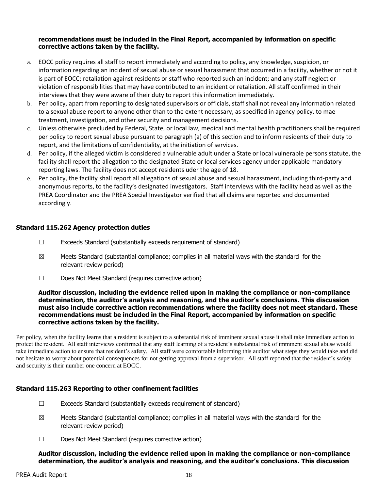## **recommendations must be included in the Final Report, accompanied by information on specific corrective actions taken by the facility.**

- a. EOCC policy requires all staff to report immediately and according to policy, any knowledge, suspicion, or information regarding an incident of sexual abuse or sexual harassment that occurred in a facility, whether or not it is part of EOCC; retaliation against residents or staff who reported such an incident; and any staff neglect or violation of responsibilities that may have contributed to an incident or retaliation. All staff confirmed in their interviews that they were aware of their duty to report this information immediately.
- b. Per policy, apart from reporting to designated supervisors or officials, staff shall not reveal any information related to a sexual abuse report to anyone other than to the extent necessary, as specified in agency policy, to mae treatment, investigation, and other security and management decisions.
- c. Unless otherwise precluded by Federal, State, or local law, medical and mental health practitioners shall be required per policy to report sexual abuse pursuant to paragraph (a) of this section and to inform residents of their duty to report, and the limitations of confidentiality, at the initiation of services.
- d. Per policy, if the alleged victim is considered a vulnerable adult under a State or local vulnerable persons statute, the facility shall report the allegation to the designated State or local services agency under applicable mandatory reporting laws. The facility does not accept residents uder the age of 18.
- e. Per policy, the facility shall report all allegations of sexual abuse and sexual harassment, including third-party and anonymous reports, to the facility's designated investigators. Staff interviews with the facility head as well as the PREA Coordinator and the PREA Special Investigator verified that all claims are reported and documented accordingly.

# **Standard 115.262 Agency protection duties**

- ☐ Exceeds Standard (substantially exceeds requirement of standard)
- $\boxtimes$  Meets Standard (substantial compliance; complies in all material ways with the standard for the relevant review period)
- ☐ Does Not Meet Standard (requires corrective action)

#### **Auditor discussion, including the evidence relied upon in making the compliance or non-compliance determination, the auditor's analysis and reasoning, and the auditor's conclusions. This discussion must also include corrective action recommendations where the facility does not meet standard. These recommendations must be included in the Final Report, accompanied by information on specific corrective actions taken by the facility.**

Per policy, when the facility learns that a resident is subject to a substantial risk of imminent sexual abuse it shall take immediate action to protect the resident. All staff interviews confirmed that any staff learning of a resident's substantial risk of imminent sexual abuse would take immediate action to ensure that resident's safety. All staff were comfortable informing this auditor what steps they would take and did not hesitate to worry about potential consequences for not getting approval from a supervisor. All staff reported that the resident's safety and security is their number one concern at EOCC.

# **Standard 115.263 Reporting to other confinement facilities**

- ☐ Exceeds Standard (substantially exceeds requirement of standard)
- $\boxtimes$  Meets Standard (substantial compliance; complies in all material ways with the standard for the relevant review period)
- ☐ Does Not Meet Standard (requires corrective action)

**Auditor discussion, including the evidence relied upon in making the compliance or non-compliance determination, the auditor's analysis and reasoning, and the auditor's conclusions. This discussion**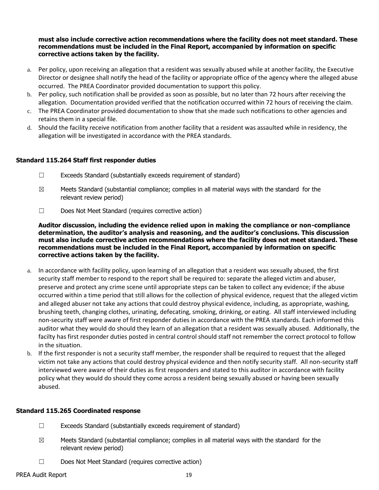**must also include corrective action recommendations where the facility does not meet standard. These recommendations must be included in the Final Report, accompanied by information on specific corrective actions taken by the facility.**

- a. Per policy, upon receiving an allegation that a resident was sexually abused while at another facility, the Executive Director or designee shall notify the head of the facility or appropriate office of the agency where the alleged abuse occurred. The PREA Coordinator provided documentation to support this policy.
- b. Per policy, such notification shall be provided as soon as possible, but no later than 72 hours after receiving the allegation. Documentation provided verified that the notification occurred within 72 hours of receiving the claim.
- c. The PREA Coordinator provided documentation to show that she made such notifications to other agencies and retains them in a special file.
- d. Should the facility receive notification from another facility that a resident was assaulted while in residency, the allegation will be investigated in accordance with the PREA standards.

# **Standard 115.264 Staff first responder duties**

- ☐ Exceeds Standard (substantially exceeds requirement of standard)
- $\boxtimes$  Meets Standard (substantial compliance; complies in all material ways with the standard for the relevant review period)
- ☐ Does Not Meet Standard (requires corrective action)

**Auditor discussion, including the evidence relied upon in making the compliance or non-compliance determination, the auditor's analysis and reasoning, and the auditor's conclusions. This discussion must also include corrective action recommendations where the facility does not meet standard. These recommendations must be included in the Final Report, accompanied by information on specific corrective actions taken by the facility.**

- a. In accordance with facility policy, upon learning of an allegation that a resident was sexually abused, the first security staff member to respond to the report shall be required to: separate the alleged victim and abuser, preserve and protect any crime scene until appropriate steps can be taken to collect any evidence; if the abuse occurred within a time period that still allows for the collection of physical evidence, request that the alleged victim and alleged abuser not take any actions that could destroy physical evidence, including, as appropriate, washing, brushing teeth, changing clothes, urinating, defecating, smoking, drinking, or eating. All staff interviewed including non-security staff were aware of first responder duties in accordance with the PREA standards. Each informed this auditor what they would do should they learn of an allegation that a resident was sexually abused. Additionally, the facilty has first responder duties posted in central control should staff not remember the correct protocol to follow in the situation.
- b. If the first responder is not a security staff member, the responder shall be required to request that the alleged victim not take any actions that could destroy physical evidence and then notify security staff. All non-security staff interviewed were aware of their duties as first responders and stated to this auditor in accordance with facility policy what they would do should they come across a resident being sexually abused or having been sexually abused.

### **Standard 115.265 Coordinated response**

- $\Box$  Exceeds Standard (substantially exceeds requirement of standard)
- $\boxtimes$  Meets Standard (substantial compliance; complies in all material ways with the standard for the relevant review period)
- ☐ Does Not Meet Standard (requires corrective action)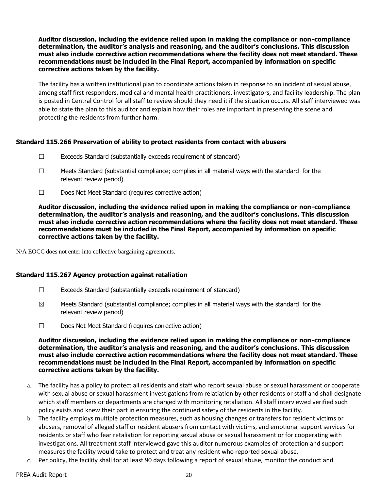**Auditor discussion, including the evidence relied upon in making the compliance or non-compliance determination, the auditor's analysis and reasoning, and the auditor's conclusions. This discussion must also include corrective action recommendations where the facility does not meet standard. These recommendations must be included in the Final Report, accompanied by information on specific corrective actions taken by the facility.**

The facility has a written institutional plan to coordinate actions taken in response to an incident of sexual abuse, among staff first responders, medical and mental health practitioners, investigators, and facility leadership. The plan is posted in Central Control for all staff to review should they need it if the situation occurs. All staff interviewed was able to state the plan to this auditor and explain how their roles are important in preserving the scene and protecting the residents from further harm.

# **Standard 115.266 Preservation of ability to protect residents from contact with abusers**

- ☐ Exceeds Standard (substantially exceeds requirement of standard)
- $\Box$  Meets Standard (substantial compliance; complies in all material ways with the standard for the relevant review period)
- ☐ Does Not Meet Standard (requires corrective action)

**Auditor discussion, including the evidence relied upon in making the compliance or non-compliance determination, the auditor's analysis and reasoning, and the auditor's conclusions. This discussion must also include corrective action recommendations where the facility does not meet standard. These recommendations must be included in the Final Report, accompanied by information on specific corrective actions taken by the facility.**

N/A EOCC does not enter into collective bargaining agreements.

### **Standard 115.267 Agency protection against retaliation**

- ☐ Exceeds Standard (substantially exceeds requirement of standard)
- $\boxtimes$  Meets Standard (substantial compliance; complies in all material ways with the standard for the relevant review period)
- ☐ Does Not Meet Standard (requires corrective action)

- a. The facility has a policy to protect all residents and staff who report sexual abuse or sexual harassment or cooperate with sexual abuse or sexual harassment investigations from relatiation by other residents or staff and shall designate which staff members or departments are charged with monitoring retaliation. All staff interviewed verified such policy exists and knew their part in ensuring the continued safety of the residents in the facility.
- b. The facility employs multiple protection measures, such as housing changes or transfers for resident victims or abusers, removal of alleged staff or resident abusers from contact with victims, and emotional support services for residents or staff who fear retaliation for reporting sexual abuse or sexual harassment or for cooperating with investigations. All treatment staff interviewed gave this auditor numerous examples of protection and support measures the facility would take to protect and treat any resident who reported sexual abuse.
- c. Per policy, the facility shall for at least 90 days following a report of sexual abuse, monitor the conduct and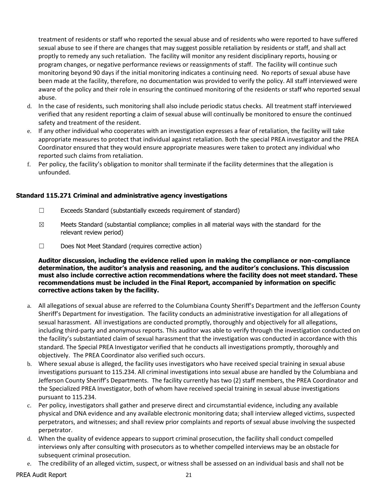treatment of residents or staff who reported the sexual abuse and of residents who were reported to have suffered sexual abuse to see if there are changes that may suggest possible retaliation by residents or staff, and shall act proptly to remedy any such retaliation. The facility will monitor any resident disciplinary reports, housing or program changes, or negative performance reviews or reassignments of staff. The facility will continue such monitoring beyond 90 days if the initial monitoring indicates a continuing need. No reports of sexual abuse have been made at the facility, therefore, no documentation was provided to verify the policy. All staff interviewed were aware of the policy and their role in ensuring the continued monitoring of the residents or staff who reported sexual abuse.

- d. In the case of residents, such monitoring shall also include periodic status checks. All treatment staff interviewed verified that any resident reporting a claim of sexual abuse will continually be monitored to ensure the continued safety and treatment of the resident.
- e. If any other individual who cooperates with an investigation expresses a fear of retaliation, the facility will take appropriate measures to protect that individual against retaliation. Both the special PREA investigator and the PREA Coordinator ensured that they would ensure appropriate measures were taken to protect any individual who reported such claims from retaliation.
- f. Per policy, the facility's obligation to monitor shall terminate if the facility determines that the allegation is unfounded.

# **Standard 115.271 Criminal and administrative agency investigations**

- $\Box$  Exceeds Standard (substantially exceeds requirement of standard)
- $\boxtimes$  Meets Standard (substantial compliance; complies in all material ways with the standard for the relevant review period)
- ☐ Does Not Meet Standard (requires corrective action)

- a. All allegations of sexual abuse are referred to the Columbiana County Sheriff's Department and the Jefferson County Sheriff's Department for investigation. The facility conducts an administrative investigation for all allegations of sexual harassment. All investigations are conducted promptly, thoroughly and objectively for all allegations, including third-party and anonymous reports. This auditor was able to verify through the investigation conducted on the facility's substantiated claim of sexual harassment that the investigation was conducted in accordance with this standard. The Special PREA Investigator verified that he conducts all investigations promptly, thoroughly and objectively. The PREA Coordinator also verified such occurs.
- b. Where sexual abuse is alleged, the facility uses investigators who have received special training in sexual abuse investigations pursuant to 115.234. All criminal investigations into sexual abuse are handled by the Columbiana and Jefferson County Sheriff's Departments. The facility currently has two (2) staff members, the PREA Coordinator and the Specialized PREA Investigator, both of whom have received special training in sexual abuse investigations pursuant to 115.234.
- c. Per policy, investigators shall gather and preserve direct and circumstantial evidence, including any available physical and DNA evidence and any available electronic monitoring data; shall interview alleged victims, suspected perpetrators, and witnesses; and shall review prior complaints and reports of sexual abuse involving the suspected perpetrator.
- d. When the quality of evidence appears to support criminal prosecution, the facility shall conduct compelled interviews only after consulting with prosecutors as to whether compelled interviews may be an obstacle for subsequent criminal prosecution.
- e. The credibility of an alleged victim, suspect, or witness shall be assessed on an individual basis and shall not be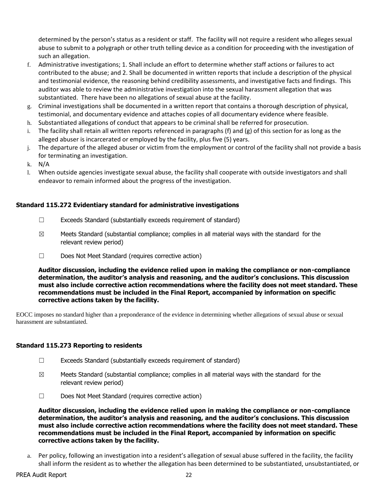determined by the person's status as a resident or staff. The facility will not require a resident who alleges sexual abuse to submit to a polygraph or other truth telling device as a condition for proceeding with the investigation of such an allegation.

- f. Administrative investigations; 1. Shall include an effort to determine whether staff actions or failures to act contributed to the abuse; and 2. Shall be documented in written reports that include a description of the physical and testimonial evidence, the reasoning behind credibility assessments, and investigative facts and findings. This auditor was able to review the administrative investigation into the sexual harassment allegation that was substantiated. There have been no allegations of sexual abuse at the facility.
- g. Criminal investigations shall be documented in a written report that contains a thorough description of physical, testimonial, and documentary evidence and attaches copies of all documentary evidence where feasible.
- h. Substantiated allegations of conduct that appears to be criminal shall be referred for prosecution.
- i. The facility shall retain all written reports referenced in paragraphs (f) and (g) of this section for as long as the alleged abuser is incarcerated or employed by the facility, plus five (5) years.
- j. The departure of the alleged abuser or victim from the employment or control of the facility shall not provide a basis for terminating an investigation.
- k. N/A
- l. When outside agencies investigate sexual abuse, the facility shall cooperate with outside investigators and shall endeavor to remain informed about the progress of the investigation.

# **Standard 115.272 Evidentiary standard for administrative investigations**

- $\Box$  Exceeds Standard (substantially exceeds requirement of standard)
- $\boxtimes$  Meets Standard (substantial compliance; complies in all material ways with the standard for the relevant review period)
- ☐ Does Not Meet Standard (requires corrective action)

**Auditor discussion, including the evidence relied upon in making the compliance or non-compliance determination, the auditor's analysis and reasoning, and the auditor's conclusions. This discussion must also include corrective action recommendations where the facility does not meet standard. These recommendations must be included in the Final Report, accompanied by information on specific corrective actions taken by the facility.**

EOCC imposes no standard higher than a preponderance of the evidence in determining whether allegations of sexual abuse or sexual harassment are substantiated.

### **Standard 115.273 Reporting to residents**

- ☐ Exceeds Standard (substantially exceeds requirement of standard)
- $\boxtimes$  Meets Standard (substantial compliance; complies in all material ways with the standard for the relevant review period)
- ☐ Does Not Meet Standard (requires corrective action)

**Auditor discussion, including the evidence relied upon in making the compliance or non-compliance determination, the auditor's analysis and reasoning, and the auditor's conclusions. This discussion must also include corrective action recommendations where the facility does not meet standard. These recommendations must be included in the Final Report, accompanied by information on specific corrective actions taken by the facility.**

a. Per policy, following an investigation into a resident's allegation of sexual abuse suffered in the facility, the facility shall inform the resident as to whether the allegation has been determined to be substantiated, unsubstantiated, or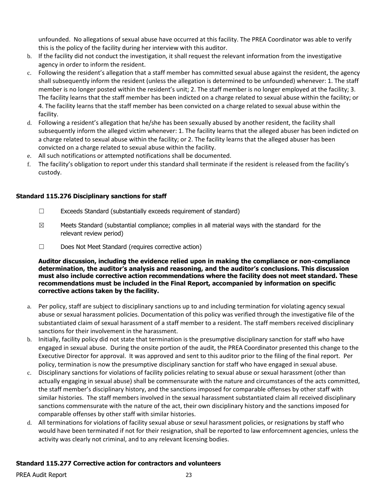unfounded. No allegations of sexual abuse have occurred at this facility. The PREA Coordinator was able to verify this is the policy of the facility during her interview with this auditor.

- b. If the facility did not conduct the investigation, it shall request the relevant information from the investigative agency in order to inform the resident.
- c. Following the resident's allegation that a staff member has committed sexual abuse against the resident, the agency shall subsequently inform the resident (unless the allegation is determined to be unfounded) whenever: 1. The staff member is no longer posted within the resident's unit; 2. The staff member is no longer employed at the facility; 3. The facility learns that the staff member has been indicted on a charge related to sexual abuse within the facility; or 4. The facility learns that the staff member has been convicted on a charge related to sexual abuse within the facility.
- d. Following a resident's allegation that he/she has been sexually abused by another resident, the facility shall subsequently inform the alleged victim whenever: 1. The facility learns that the alleged abuser has been indicted on a charge related to sexual abuse within the facility; or 2. The facility learns that the alleged abuser has been convicted on a charge related to sexual abuse within the facility.
- e. All such notifications or attempted notifications shall be documented.
- f. The facility's obligation to report under this standard shall terminate if the resident is released from the facility's custody.

# **Standard 115.276 Disciplinary sanctions for staff**

- ☐ Exceeds Standard (substantially exceeds requirement of standard)
- $\boxtimes$  Meets Standard (substantial compliance; complies in all material ways with the standard for the relevant review period)
- ☐ Does Not Meet Standard (requires corrective action)

**Auditor discussion, including the evidence relied upon in making the compliance or non-compliance determination, the auditor's analysis and reasoning, and the auditor's conclusions. This discussion must also include corrective action recommendations where the facility does not meet standard. These recommendations must be included in the Final Report, accompanied by information on specific corrective actions taken by the facility.**

- a. Per policy, staff are subject to disciplinary sanctions up to and including termination for violating agency sexual abuse or sexual harassment policies. Documentation of this policy was verified through the investigative file of the substantiated claim of sexual harassment of a staff member to a resident. The staff members received disciplinary sanctions for their involvement in the harassment.
- b. Initially, facility policy did not state that termination is the presumptive disciplinary sanction for staff who have engaged in sexual abuse. During the onsite portion of the audit, the PREA Coordinator presented this change to the Executive Director for approval. It was approved and sent to this auditor prior to the filing of the final report. Per policy, termination is now the presumptive disciplinary sanction for staff who have engaged in sexual abuse.
- c. Disciplinary sanctions for violations of facility policies relating to sexual abuse or sexual harassment (other than actually engaging in sexual abuse) shall be commensurate with the nature and circumstances of the acts committed, the staff member's disciplinary history, and the sanctions imposed for comparable offenses by other staff with similar histories. The staff members involved in the sexual harassment substantiated claim all received disciplinary sanctions commensurate with the nature of the act, their own disciplinary history and the sanctions imposed for comparable offenses by other staff with similar histories.
- d. All terminations for violations of facility sexual abuse or sexul harassment policies, or resignations by staff who would have been terminated if not for their resignation, shall be reported to law enforcemnent agencies, unless the activity was clearly not criminal, and to any relevant licensing bodies.

### **Standard 115.277 Corrective action for contractors and volunteers**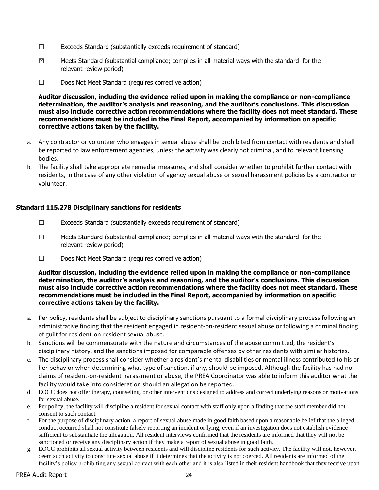- $\Box$  Exceeds Standard (substantially exceeds requirement of standard)
- $\boxtimes$  Meets Standard (substantial compliance; complies in all material ways with the standard for the relevant review period)
- ☐ Does Not Meet Standard (requires corrective action)

**Auditor discussion, including the evidence relied upon in making the compliance or non-compliance determination, the auditor's analysis and reasoning, and the auditor's conclusions. This discussion must also include corrective action recommendations where the facility does not meet standard. These recommendations must be included in the Final Report, accompanied by information on specific corrective actions taken by the facility.**

- a. Any contractor or volunteer who engages in sexual abuse shall be prohibited from contact with residents and shall be reported to law enforcement agencies, unless the activity was clearly not criminal, and to relevant licensing bodies.
- b. The facility shall take appropriate remedial measures, and shall consider whether to prohibit further contact with residents, in the case of any other violation of agency sexual abuse or sexual harassment policies by a contractor or volunteer.

### **Standard 115.278 Disciplinary sanctions for residents**

- $\Box$  Exceeds Standard (substantially exceeds requirement of standard)
- $\boxtimes$  Meets Standard (substantial compliance; complies in all material ways with the standard for the relevant review period)
- ☐ Does Not Meet Standard (requires corrective action)

- a. Per policy, residents shall be subject to disciplinary sanctions pursuant to a formal disciplinary process following an administrative finding that the resident engaged in resident-on-resident sexual abuse or following a criminal finding of guilt for resident-on-resident sexual abuse.
- b. Sanctions will be commensurate with the nature and circumstances of the abuse committed, the resident's disciplinary history, and the sanctions imposed for comparable offenses by other residents with similar histories.
- c. The disciplinary process shall consider whether a resident's mental disabilities or mental illness contributed to his or her behavior when determining what type of sanction, if any, should be imposed. Although the facility has had no claims of resident-on-resident harassment or abuse, the PREA Coordinator was able to inform this auditor what the facility would take into consideration should an allegation be reported.
- d. EOCC does not offer therapy, counseling, or other interventions designed to address and correct underlying reasons or motivations for sexual abuse.
- e. Per policy, the facility will discipline a resident for sexual contact with staff only upon a finding that the staff member did not consent to such contact.
- f. For the purpose of disciplinary action, a report of sexual abuse made in good faith based upon a reasonable belief that the alleged conduct occurred shall not constitute falsely reporting an incident or lying, even if an investigation does not establish evidence sufficient to substantiate the allegation. All resident interviews confirmed that the residents are informed that they will not be sanctioned or receive any disciplinary action if they make a report of sexual abuse in good faith.
- g. EOCC prohibits all sexual activity between residents and will discipline residents for such activity. The facility will not, however, deem such activity to constitute sexual abuse if it determines that the activity is not coerced. All residents are informed of the facility's policy prohibiting any sexual contact with each other and it is also listed in their resident handbook that they receive upon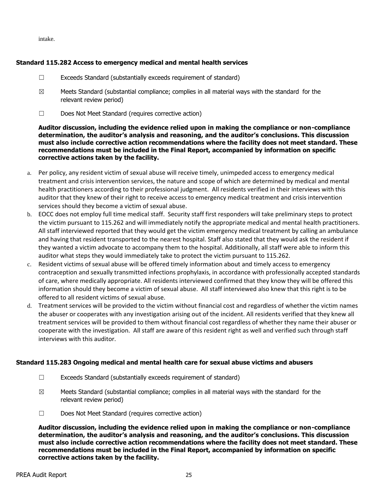intake.

# **Standard 115.282 Access to emergency medical and mental health services**

- $\Box$  Exceeds Standard (substantially exceeds requirement of standard)
- $\boxtimes$  Meets Standard (substantial compliance; complies in all material ways with the standard for the relevant review period)
- ☐ Does Not Meet Standard (requires corrective action)

**Auditor discussion, including the evidence relied upon in making the compliance or non-compliance determination, the auditor's analysis and reasoning, and the auditor's conclusions. This discussion must also include corrective action recommendations where the facility does not meet standard. These recommendations must be included in the Final Report, accompanied by information on specific corrective actions taken by the facility.**

- a. Per policy, any resident victim of sexual abuse will receive timely, unimpeded access to emergency medical treatment and crisis intervention services, the nature and scope of which are determined by medical and mental health practitioners according to their professional judgment. All residents verified in their interviews with this auditor that they knew of their right to receive access to emergency medical treatment and crisis intervention services should they become a victim of sexual abuse.
- b. EOCC does not employ full time medical staff. Security staff first responders will take preliminary steps to protect the victim pursuant to 115.262 and will immediately notify the appropriate medical and mental health practitioners. All staff interviewed reported that they would get the victim emergency medical treatment by calling an ambulance and having that resident transported to the nearest hospital. Staff also stated that they would ask the resident if they wanted a victim advocate to accompany them to the hospital. Additionally, all staff were able to inform this auditor what steps they would immediately take to protect the victim pursuant to 115.262.
- c. Resident victims of sexual abuse will be offered timely information about and timely access to emergency contraception and sexually transmitted infections prophylaxis, in accordance with professionally accepted standards of care, where medically appropriate. All residents interviewed confirmed that they know they will be offered this information should they become a victim of sexual abuse. All staff interviewed also knew that this right is to be offered to all resident victims of sexual abuse.
- d. Treatment services will be provided to the victim without financial cost and regardless of whether the victim names the abuser or cooperates with any investigation arising out of the incident. All residents verified that they knew all treatment services will be provided to them without financial cost regardless of whether they name their abuser or cooperate with the investigation. All staff are aware of this resident right as well and verified such through staff interviews with this auditor.

### **Standard 115.283 Ongoing medical and mental health care for sexual abuse victims and abusers**

- ☐ Exceeds Standard (substantially exceeds requirement of standard)
- $\boxtimes$  Meets Standard (substantial compliance; complies in all material ways with the standard for the relevant review period)
- ☐ Does Not Meet Standard (requires corrective action)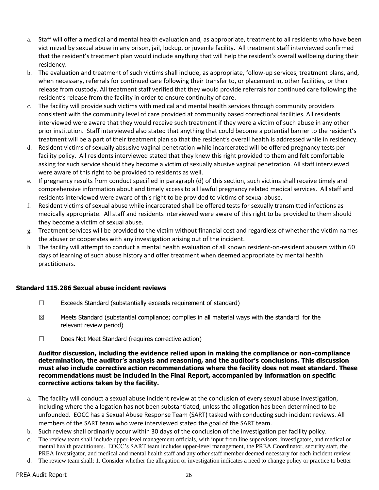- a. Staff will offer a medical and mental health evaluation and, as appropriate, treatment to all residents who have been victimized by sexual abuse in any prison, jail, lockup, or juvenile facility. All treatment staff interviewed confirmed that the resident's treatment plan would include anything that will help the resident's overall wellbeing during their residency.
- b. The evaluation and treatment of such victims shall include, as appropriate, follow-up services, treatment plans, and, when necessary, referrals for continued care following their transfer to, or placement in, other facilities, or their release from custody. All treatment staff verified that they would provide referrals for continued care following the resident's release from the facility in order to ensure continuity of care.
- c. The facility will provide such victims with medical and mental health services through community providers consistent with the community level of care provided at community based correctional facilities. All residents interviewed were aware that they would receive such treatment if they were a victim of such abuse in any other prior institution. Staff interviewed also stated that anything that could become a potential barrier to the resident's treatment will be a part of their treatment plan so that the resident's overall health is addressed while in residency.
- d. Resident victims of sexually absusive vaginal penetration while incarcerated will be offered pregnancy tests per facility policy. All residents interviewed stated that they knew this right provided to them and felt comfortable asking for such service should they become a victim of sexually abusive vaginal penetration. All staff interviewed were aware of this right to be provided to residents as well.
- e. If pregnancy results from conduct specified in paragraph (d) of this section, such victims shall receive timely and comprehensive information about and timely access to all lawful pregnancy related medical services. All staff and residents interviewed were aware of this right to be provided to victims of sexual abuse.
- f. Resident victims of sexual abuse while incarcerated shall be offered tests for sexually transmitted infections as medically appropriate. All staff and residents interviewed were aware of this right to be provided to them should they become a victim of sexual abuse.
- g. Treatment services will be provided to the victim without financial cost and regardless of whether the victim names the abuser or cooperates with any investigation arising out of the incident.
- h. The facility will attempt to conduct a mental health evaluation of all known resident-on-resident abusers within 60 days of learning of such abuse history and offer treatment when deemed appropriate by mental health practitioners.

# **Standard 115.286 Sexual abuse incident reviews**

- ☐ Exceeds Standard (substantially exceeds requirement of standard)
- $\boxtimes$  Meets Standard (substantial compliance; complies in all material ways with the standard for the relevant review period)
- ☐ Does Not Meet Standard (requires corrective action)

- a. The facility will conduct a sexual abuse incident review at the conclusion of every sexual abuse investigation, including where the allegation has not been substantiated, unless the allegation has been determined to be unfounded. EOCC has a Sexual Abuse Response Team (SART) tasked with conducting such incident reviews. All members of the SART team who were interviewed stated the goal of the SART team.
- b. Such review shall ordinarily occur within 30 days of the conclusion of the investigation per facility policy.
- c. The review team shall include upper-level management officials, with input from line supervisors, investigators, and medical or mental health practitioners. EOCC's SART team includes upper-level management, the PREA Coordinator, security staff, the PREA Investigator, and medical and mental health staff and any other staff member deemed necessary for each incident review.
- d. The review team shall: 1. Consider whether the allegation or investigation indicates a need to change policy or practice to better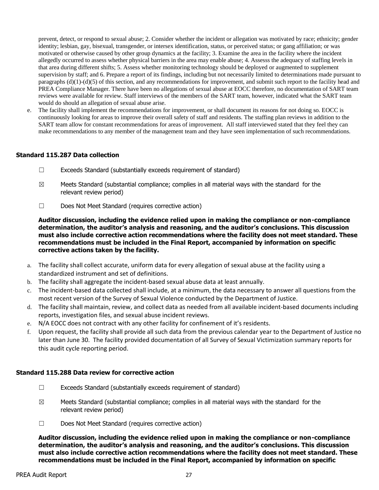prevent, detect, or respond to sexual abuse; 2. Consider whether the incident or allegation was motivated by race; ethnicity; gender identity; lesbian, gay, bisexual, transgender, or intersex identification, status, or perceived status; or gang affiliation; or was motivated or otherwise caused by other group dynamics at the facility; 3. Examine the area in the facility where the incident allegedly occurred to assess whether physical barriers in the area may enable abuse; 4. Assesss the adequacy of staffing levels in that area during different shifts; 5. Assess whether monitoring technology should be deployed or augmented to supplement supervision by staff; and 6. Prepare a report of its findings, including but not necessarily limited to determinations made pursuant to paragraphs (d)(1)-(d)(5) of this section, and any recommendations for improvement, and submit such report to the facility head and PREA Compliance Manager. There have been no allegations of sexual abuse at EOCC therefore, no documentation of SART team reviews were available for review. Staff interviews of the members of the SART team, however, indicated what the SART team would do should an allegation of sexual abuse arise.

e. The facility shall implement the recommendations for improvement, or shall document its reasons for not doing so. EOCC is continuously looking for areas to improve their overall safety of staff and residents. The staffing plan reviews in addition to the SART team allow for constant recommendations for areas of improvement. All staff interviewed stated that they feel they can make recommendations to any member of the management team and they have seen implementation of such recommendations.

# **Standard 115.287 Data collection**

- ☐ Exceeds Standard (substantially exceeds requirement of standard)
- $\boxtimes$  Meets Standard (substantial compliance; complies in all material ways with the standard for the relevant review period)
- ☐ Does Not Meet Standard (requires corrective action)

**Auditor discussion, including the evidence relied upon in making the compliance or non-compliance determination, the auditor's analysis and reasoning, and the auditor's conclusions. This discussion must also include corrective action recommendations where the facility does not meet standard. These recommendations must be included in the Final Report, accompanied by information on specific corrective actions taken by the facility.**

- a. The facility shall collect accurate, uniform data for every allegation of sexual abuse at the facility using a standardized instrument and set of definitions.
- b. The facility shall aggregate the incident-based sexual abuse data at least annually.
- c. The incident-based data collected shall include, at a minimum, the data necessary to answer all questions from the most recent version of the Survey of Sexual Violence conducted by the Department of Justice.
- d. The facility shall maintain, review, and collect data as needed from all available incident-based documents including reports, investigation files, and sexual abuse incident reviews.
- e. N/A EOCC does not contract with any other facility for confinement of it's residents.
- f. Upon request, the facility shall provide all such data from the previous calendar year to the Department of Justice no later than June 30. The facility provided documentation of all Survey of Sexual Victimization summary reports for this audit cycle reporting period.

### **Standard 115.288 Data review for corrective action**

- ☐ Exceeds Standard (substantially exceeds requirement of standard)
- $\boxtimes$  Meets Standard (substantial compliance; complies in all material ways with the standard for the relevant review period)
- ☐ Does Not Meet Standard (requires corrective action)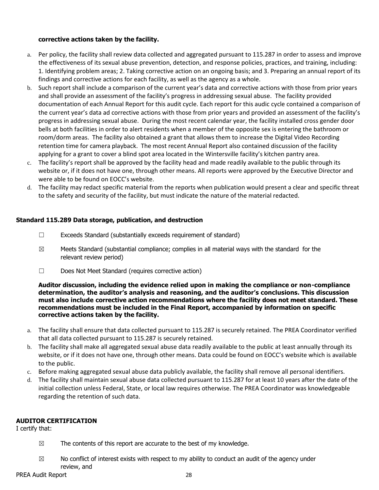# **corrective actions taken by the facility.**

- a. Per policy, the facility shall review data collected and aggregated pursuant to 115.287 in order to assess and improve the effectiveness of its sexual abuse prevention, detection, and response policies, practices, and training, including: 1. Identifying problem areas; 2. Taking corrective action on an ongoing basis; and 3. Preparing an annual report of its findings and corrective actions for each facility, as well as the agency as a whole.
- b. Such report shall include a comparison of the current year's data and corrective actions with those from prior years and shall provide an assessment of the facility's progress in addressing sexual abuse. The facility provided documentation of each Annual Report for this audit cycle. Each report for this audic cycle contained a comparison of the current year's data ad corrective actions with those from prior years and provided an assessment of the facility's progress in addressing sexual abuse. During the most recent calendar year, the facility installed cross gender door bells at both facilities in order to alert residents when a member of the opposite sex is entering the bathroom or room/dorm areas. The facility also obtained a grant that allows them to increase the Digital Video Recording retention time for camera playback. The most recent Annual Report also contained discussion of the facility applying for a grant to cover a blind spot area located in the Wintersville facility's kitchen pantry area.
- c. The facility's report shall be approved by the facility head and made readily available to the public through its website or, if it does not have one, through other means. All reports were approved by the Executive Director and were able to be found on EOCC's website.
- d. The facility may redact specific material from the reports when publication would present a clear and specific threat to the safety and security of the facility, but must indicate the nature of the material redacted.

# **Standard 115.289 Data storage, publication, and destruction**

- ☐ Exceeds Standard (substantially exceeds requirement of standard)
- $\boxtimes$  Meets Standard (substantial compliance; complies in all material ways with the standard for the relevant review period)
- ☐ Does Not Meet Standard (requires corrective action)

**Auditor discussion, including the evidence relied upon in making the compliance or non-compliance determination, the auditor's analysis and reasoning, and the auditor's conclusions. This discussion must also include corrective action recommendations where the facility does not meet standard. These recommendations must be included in the Final Report, accompanied by information on specific corrective actions taken by the facility.**

- a. The facility shall ensure that data collected pursuant to 115.287 is securely retained. The PREA Coordinator verified that all data collected pursuant to 115.287 is securely retained.
- b. The facility shall make all aggregated sexual abuse data readily available to the public at least annually through its website, or if it does not have one, through other means. Data could be found on EOCC's website which is available to the public.
- c. Before making aggregated sexual abuse data publicly available, the facility shall remove all personal identifiers.
- d. The facility shall maintain sexual abuse data collected pursuant to 115.287 for at least 10 years after the date of the initial collection unless Federal, State, or local law requires otherwise. The PREA Coordinator was knowledgeable regarding the retention of such data.

# **AUDITOR CERTIFICATION**

I certify that:

- $\boxtimes$  The contents of this report are accurate to the best of my knowledge.
- $\boxtimes$  No conflict of interest exists with respect to my ability to conduct an audit of the agency under review, and